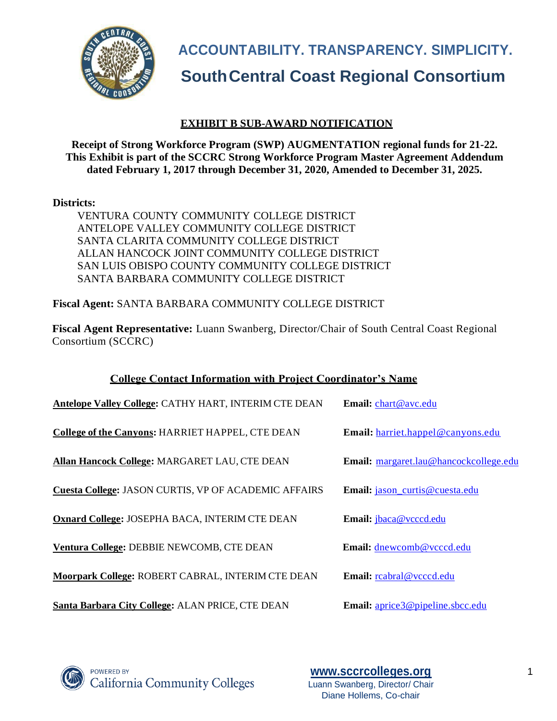

**ACCOUNTABILITY. TRANSPARENCY. SIMPLICITY.**

# **SouthCentral Coast Regional Consortium**

# **EXHIBIT B SUB-AWARD NOTIFICATION**

**Receipt of Strong Workforce Program (SWP) AUGMENTATION regional funds for 21-22. This Exhibit is part of the SCCRC Strong Workforce Program Master Agreement Addendum dated February 1, 2017 through December 31, 2020, Amended to December 31, 2025.**

## **Districts:**

VENTURA COUNTY COMMUNITY COLLEGE DISTRICT ANTELOPE VALLEY COMMUNITY COLLEGE DISTRICT SANTA CLARITA COMMUNITY COLLEGE DISTRICT ALLAN HANCOCK JOINT COMMUNITY COLLEGE DISTRICT SAN LUIS OBISPO COUNTY COMMUNITY COLLEGE DISTRICT SANTA BARBARA COMMUNITY COLLEGE DISTRICT

**Fiscal Agent:** SANTA BARBARA COMMUNITY COLLEGE DISTRICT

**Fiscal Agent Representative:** Luann Swanberg, Director/Chair of South Central Coast Regional Consortium (SCCRC)

# **College Contact Information with Project Coordinator's Name**

| Antelope Valley College: CATHY HART, INTERIM CTE DEAN       | Email: chart@avc.edu                   |
|-------------------------------------------------------------|----------------------------------------|
| College of the Canyons: HARRIET HAPPEL, CTE DEAN            | Email: harriet.happel@canyons.edu      |
| Allan Hancock College: MARGARET LAU, CTE DEAN               | Email: margaret.lau@hancockcollege.edu |
| <b>Cuesta College: JASON CURTIS, VP OF ACADEMIC AFFAIRS</b> | Email: jason_curtis@cuesta.edu         |
| Oxnard College: JOSEPHA BACA, INTERIM CTE DEAN              | Email: jbaca@vcccd.edu                 |
| Ventura College: DEBBIE NEWCOMB, CTE DEAN                   | Email: dnewcomb@vcccd.edu              |
| Moorpark College: ROBERT CABRAL, INTERIM CTE DEAN           | Email: reabral@veced.edu               |
| Santa Barbara City College: ALAN PRICE, CTE DEAN            | Email: aprice3@pipeline.sbcc.edu       |



**POWERED BY California Community Colleges** 

**[www.sccrcolleges.org](http://www.sccrcolleges.org/)** 1 Luann Swanberg, Director/ Chair Diane Hollems, Co-chair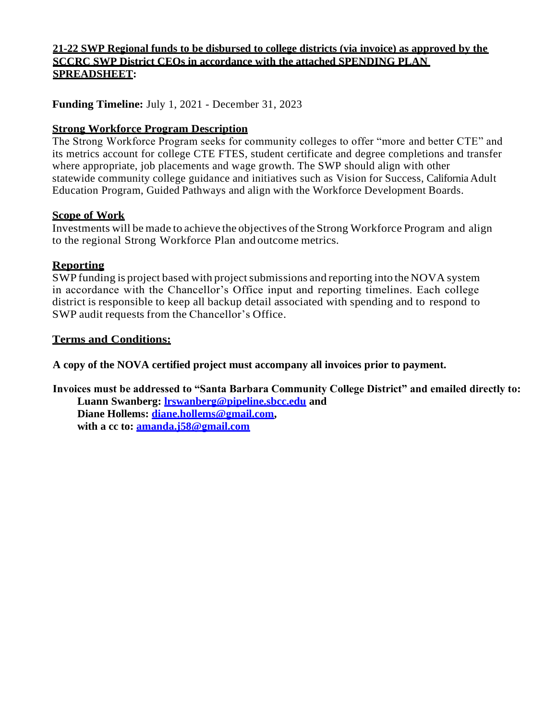# **21-22 SWP Regional funds to be disbursed to college districts (via invoice) as approved by the SCCRC SWP District CEOs in accordance with the attached SPENDING PLAN SPREADSHEET:**

**Funding Timeline:** July 1, 2021 - December 31, 2023

# **Strong Workforce Program Description**

The Strong Workforce Program seeks for community colleges to offer "more and better CTE" and its metrics account for college CTE FTES, student certificate and degree completions and transfer where appropriate, job placements and wage growth. The SWP should align with other statewide community college guidance and initiatives such as Vision for Success, California Adult Education Program, Guided Pathways and align with the Workforce Development Boards.

## **Scope of Work**

Investments will be made to achieve the objectives ofthe Strong Workforce Program and align to the regional Strong Workforce Plan and outcome metrics.

## **Reporting**

SWP funding is project based with project submissions and reporting into the NOVA system in accordance with the Chancellor's Office input and reporting timelines. Each college district is responsible to keep all backup detail associated with spending and to respond to SWP audit requests from the Chancellor's Office.

## **Terms and Conditions:**

**A copy of the NOVA certified project must accompany all invoices prior to payment.**

**Invoices must be addressed to "Santa Barbara Community College District" and emailed directly to: Luann Swanberg: [lrswanberg@pipeline.sbcc.edu](mailto:lrswanberg@pipeline.sbcc.edu) and Diane Hollems: [diane.hollems@gmail.com,](mailto:diane.hollems@gmail.com) with a cc to: [amanda.j58@gmail.com](mailto:amanda.j58@gmail.com)**